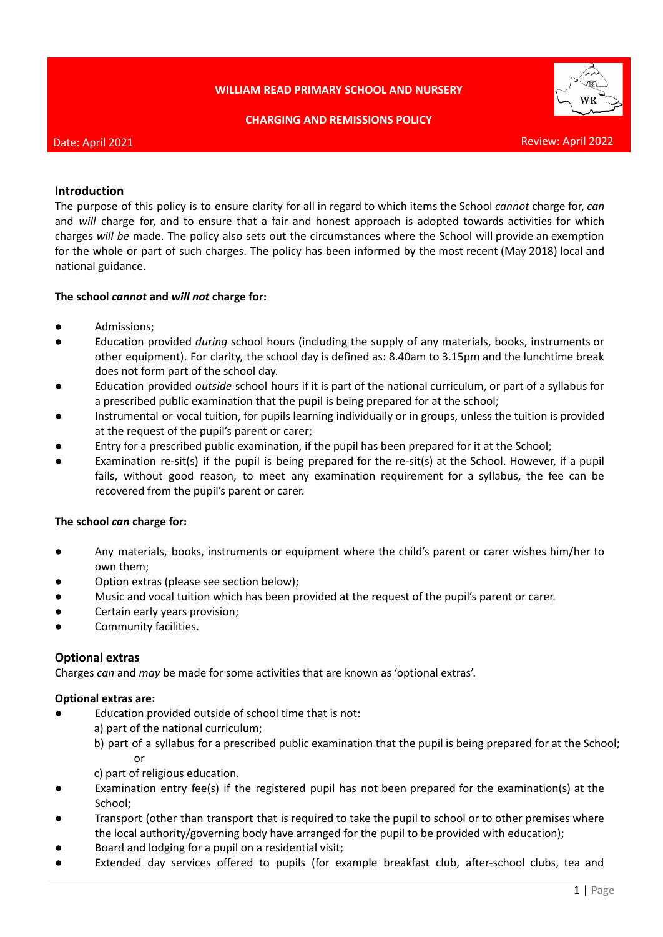# **WILLIAM READ PRIMARY SCHOOL AND NURSERY**

**CHARGING AND REMISSIONS POLICY**



#### Date: April 2021

#### Review: April 2022

## **Introduction**

The purpose of this policy is to ensure clarity for all in regard to which items the School *cannot* charge for, *can* and *will* charge for, and to ensure that a fair and honest approach is adopted towards activities for which charges *will be* made. The policy also sets out the circumstances where the School will provide an exemption for the whole or part of such charges. The policy has been informed by the most recent (May 2018) local and national guidance.

#### **The school** *cannot* **and** *will not* **charge for:**

- Admissions;
- Education provided *during* school hours (including the supply of any materials, books, instruments or other equipment). For clarity, the school day is defined as: 8.40am to 3.15pm and the lunchtime break does not form part of the school day.
- Education provided *outside* school hours if it is part of the national curriculum, or part of a syllabus for a prescribed public examination that the pupil is being prepared for at the school;
- Instrumental or vocal tuition, for pupils learning individually or in groups, unless the tuition is provided at the request of the pupil's parent or carer;
- Entry for a prescribed public examination, if the pupil has been prepared for it at the School;
- Examination re-sit(s) if the pupil is being prepared for the re-sit(s) at the School. However, if a pupil fails, without good reason, to meet any examination requirement for a syllabus, the fee can be recovered from the pupil's parent or carer.

## **The school** *can* **charge for:**

- Any materials, books, instruments or equipment where the child's parent or carer wishes him/her to own them;
- Option extras (please see section below);
- Music and vocal tuition which has been provided at the request of the pupil's parent or carer.
- Certain early years provision;
- Community facilities.

## **Optional extras**

Charges *can* and *may* be made for some activities that are known as 'optional extras'.

## **Optional extras are:**

- **●** Education provided outside of school time that is not:
	- a) part of the national curriculum;
	- b) part of a syllabus for a prescribed public examination that the pupil is being prepared for at the School; or
	- c) part of religious education.
- Examination entry fee(s) if the registered pupil has not been prepared for the examination(s) at the School;
- Transport (other than transport that is required to take the pupil to school or to other premises where the local authority/governing body have arranged for the pupil to be provided with education);
- Board and lodging for a pupil on a residential visit;
- Extended day services offered to pupils (for example breakfast club, after-school clubs, tea and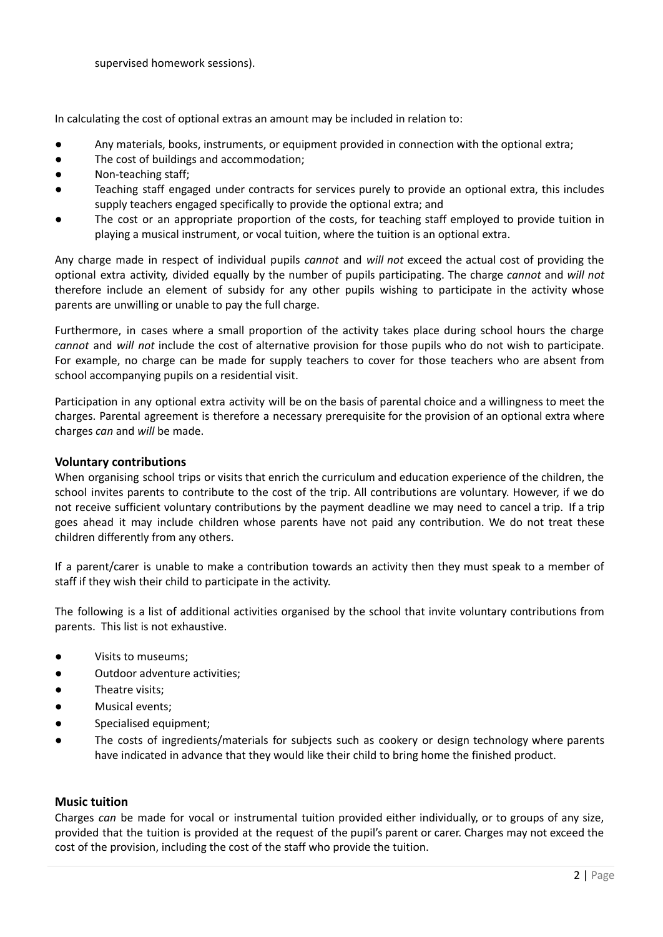In calculating the cost of optional extras an amount may be included in relation to:

- Any materials, books, instruments, or equipment provided in connection with the optional extra;
- The cost of buildings and accommodation;
- Non-teaching staff;
- Teaching staff engaged under contracts for services purely to provide an optional extra, this includes supply teachers engaged specifically to provide the optional extra; and
- The cost or an appropriate proportion of the costs, for teaching staff employed to provide tuition in playing a musical instrument, or vocal tuition, where the tuition is an optional extra.

Any charge made in respect of individual pupils *cannot* and *will not* exceed the actual cost of providing the optional extra activity, divided equally by the number of pupils participating. The charge *cannot* and *will not* therefore include an element of subsidy for any other pupils wishing to participate in the activity whose parents are unwilling or unable to pay the full charge.

Furthermore, in cases where a small proportion of the activity takes place during school hours the charge *cannot* and *will not* include the cost of alternative provision for those pupils who do not wish to participate. For example, no charge can be made for supply teachers to cover for those teachers who are absent from school accompanying pupils on a residential visit.

Participation in any optional extra activity will be on the basis of parental choice and a willingness to meet the charges. Parental agreement is therefore a necessary prerequisite for the provision of an optional extra where charges *can* and *will* be made.

## **Voluntary contributions**

When organising school trips or visits that enrich the curriculum and education experience of the children, the school invites parents to contribute to the cost of the trip. All contributions are voluntary. However, if we do not receive sufficient voluntary contributions by the payment deadline we may need to cancel a trip. If a trip goes ahead it may include children whose parents have not paid any contribution. We do not treat these children differently from any others.

If a parent/carer is unable to make a contribution towards an activity then they must speak to a member of staff if they wish their child to participate in the activity.

The following is a list of additional activities organised by the school that invite voluntary contributions from parents. This list is not exhaustive.

- Visits to museums;
- Outdoor adventure activities;
- Theatre visits:
- Musical events;
- Specialised equipment;
- The costs of ingredients/materials for subjects such as cookery or design technology where parents have indicated in advance that they would like their child to bring home the finished product.

## **Music tuition**

Charges *can* be made for vocal or instrumental tuition provided either individually, or to groups of any size, provided that the tuition is provided at the request of the pupil's parent or carer. Charges may not exceed the cost of the provision, including the cost of the staff who provide the tuition.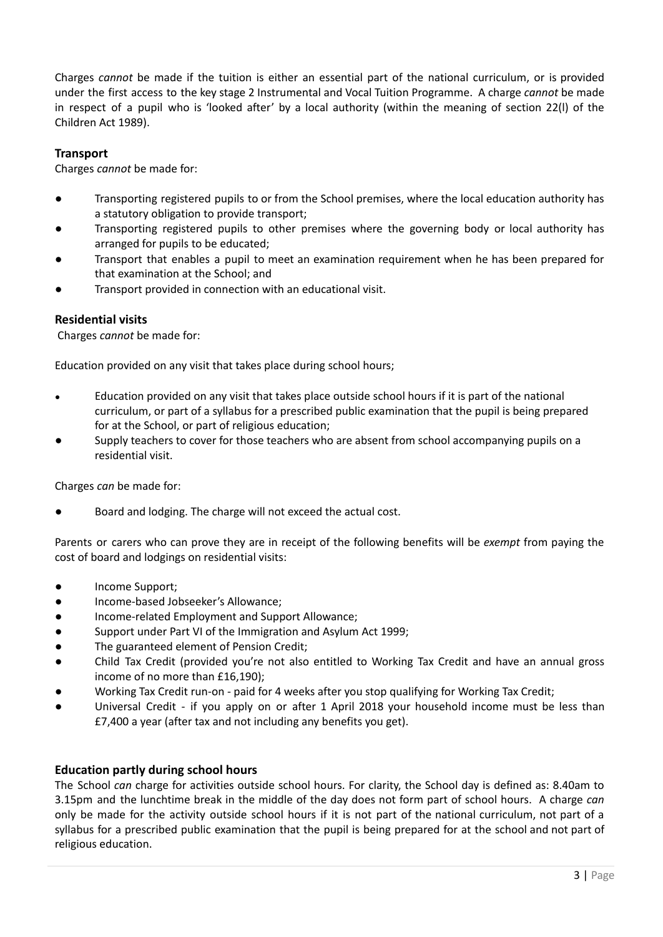Charges *cannot* be made if the tuition is either an essential part of the national curriculum, or is provided under the first access to the key stage 2 Instrumental and Vocal Tuition Programme. A charge *cannot* be made in respect of a pupil who is 'looked after' by a local authority (within the meaning of section 22(l) of the Children Act 1989).

# **Transport**

Charges *cannot* be made for:

- Transporting registered pupils to or from the School premises, where the local education authority has a statutory obligation to provide transport;
- Transporting registered pupils to other premises where the governing body or local authority has arranged for pupils to be educated;
- Transport that enables a pupil to meet an examination requirement when he has been prepared for that examination at the School; and
- Transport provided in connection with an educational visit.

# **Residential visits**

Charges *cannot* be made for:

Education provided on any visit that takes place during school hours;

- Education provided on any visit that takes place outside school hours if it is part of the national curriculum, or part of a syllabus for a prescribed public examination that the pupil is being prepared for at the School, or part of religious education;
- Supply teachers to cover for those teachers who are absent from school accompanying pupils on a residential visit.

Charges *can* be made for:

Board and lodging. The charge will not exceed the actual cost.

Parents or carers who can prove they are in receipt of the following benefits will be *exempt* from paying the cost of board and lodgings on residential visits:

- Income Support;
- Income-based Jobseeker's Allowance;
- Income-related Employment and Support Allowance;
- Support under Part VI of the Immigration and Asylum Act 1999;
- The guaranteed element of Pension Credit;
- Child Tax Credit (provided you're not also entitled to Working Tax Credit and have an annual gross income of no more than £16,190);
- Working Tax Credit run-on paid for 4 weeks after you stop qualifying for Working Tax Credit;
- Universal Credit if you apply on or after 1 April 2018 your household income must be less than £7,400 a year (after tax and not including any benefits you get).

# **Education partly during school hours**

The School *can* charge for activities outside school hours. For clarity, the School day is defined as: 8.40am to 3.15pm and the lunchtime break in the middle of the day does not form part of school hours. A charge *can* only be made for the activity outside school hours if it is not part of the national curriculum, not part of a syllabus for a prescribed public examination that the pupil is being prepared for at the school and not part of religious education.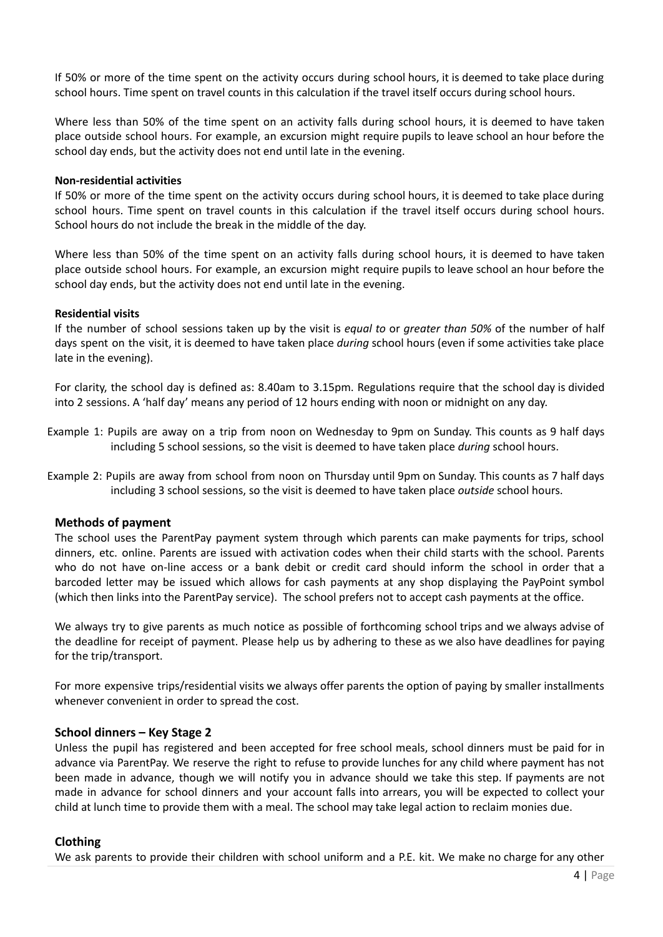If 50% or more of the time spent on the activity occurs during school hours, it is deemed to take place during school hours. Time spent on travel counts in this calculation if the travel itself occurs during school hours.

Where less than 50% of the time spent on an activity falls during school hours, it is deemed to have taken place outside school hours. For example, an excursion might require pupils to leave school an hour before the school day ends, but the activity does not end until late in the evening.

#### **Non-residential activities**

If 50% or more of the time spent on the activity occurs during school hours, it is deemed to take place during school hours. Time spent on travel counts in this calculation if the travel itself occurs during school hours. School hours do not include the break in the middle of the day.

Where less than 50% of the time spent on an activity falls during school hours, it is deemed to have taken place outside school hours. For example, an excursion might require pupils to leave school an hour before the school day ends, but the activity does not end until late in the evening.

#### **Residential visits**

If the number of school sessions taken up by the visit is *equal to* or *greater than 50%* of the number of half days spent on the visit, it is deemed to have taken place *during* school hours (even if some activities take place late in the evening).

For clarity, the school day is defined as: 8.40am to 3.15pm. Regulations require that the school day is divided into 2 sessions. A 'half day' means any period of 12 hours ending with noon or midnight on any day.

- Example 1: Pupils are away on a trip from noon on Wednesday to 9pm on Sunday. This counts as 9 half days including 5 school sessions, so the visit is deemed to have taken place *during* school hours.
- Example 2: Pupils are away from school from noon on Thursday until 9pm on Sunday. This counts as 7 half days including 3 school sessions, so the visit is deemed to have taken place *outside* school hours.

## **Methods of payment**

The school uses the ParentPay payment system through which parents can make payments for trips, school dinners, etc. online. Parents are issued with activation codes when their child starts with the school. Parents who do not have on-line access or a bank debit or credit card should inform the school in order that a barcoded letter may be issued which allows for cash payments at any shop displaying the PayPoint symbol (which then links into the ParentPay service). The school prefers not to accept cash payments at the office.

We always try to give parents as much notice as possible of forthcoming school trips and we always advise of the deadline for receipt of payment. Please help us by adhering to these as we also have deadlines for paying for the trip/transport.

For more expensive trips/residential visits we always offer parents the option of paying by smaller installments whenever convenient in order to spread the cost.

## **School dinners – Key Stage 2**

Unless the pupil has registered and been accepted for free school meals, school dinners must be paid for in advance via ParentPay. We reserve the right to refuse to provide lunches for any child where payment has not been made in advance, though we will notify you in advance should we take this step. If payments are not made in advance for school dinners and your account falls into arrears, you will be expected to collect your child at lunch time to provide them with a meal. The school may take legal action to reclaim monies due.

#### **Clothing**

We ask parents to provide their children with school uniform and a P.E. kit. We make no charge for any other